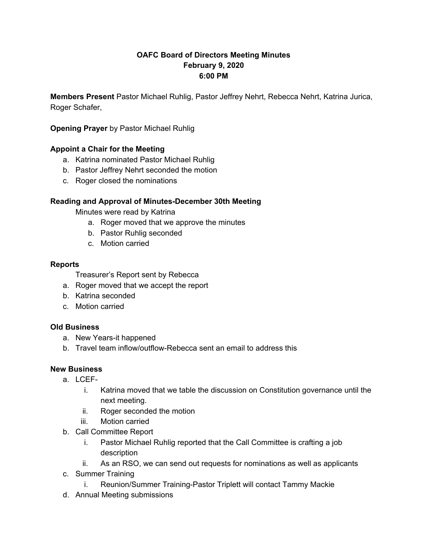# **OAFC Board of Directors Meeting Minutes February 9, 2020 6:00 PM**

**Members Present** Pastor Michael Ruhlig, Pastor Jeffrey Nehrt, Rebecca Nehrt, Katrina Jurica, Roger Schafer,

**Opening Prayer** by Pastor Michael Ruhlig

# **Appoint a Chair for the Meeting**

- a. Katrina nominated Pastor Michael Ruhlig
- b. Pastor Jeffrey Nehrt seconded the motion
- c. Roger closed the nominations

# **Reading and Approval of Minutes-December 30th Meeting**

Minutes were read by Katrina

- a. Roger moved that we approve the minutes
- b. Pastor Ruhlig seconded
- c. Motion carried

## **Reports**

- Treasurer's Report sent by Rebecca
- a. Roger moved that we accept the report
- b. Katrina seconded
- c. Motion carried

## **Old Business**

- a. New Years-it happened
- b. Travel team inflow/outflow-Rebecca sent an email to address this

## **New Business**

- a. LCEF
	- i. Katrina moved that we table the discussion on Constitution governance until the next meeting.
	- ii. Roger seconded the motion
	- iii. Motion carried
- b. Call Committee Report
	- i. Pastor Michael Ruhlig reported that the Call Committee is crafting a job description
	- ii. As an RSO, we can send out requests for nominations as well as applicants
- c. Summer Training
	- i. Reunion/Summer Training-Pastor Triplett will contact Tammy Mackie
- d. Annual Meeting submissions